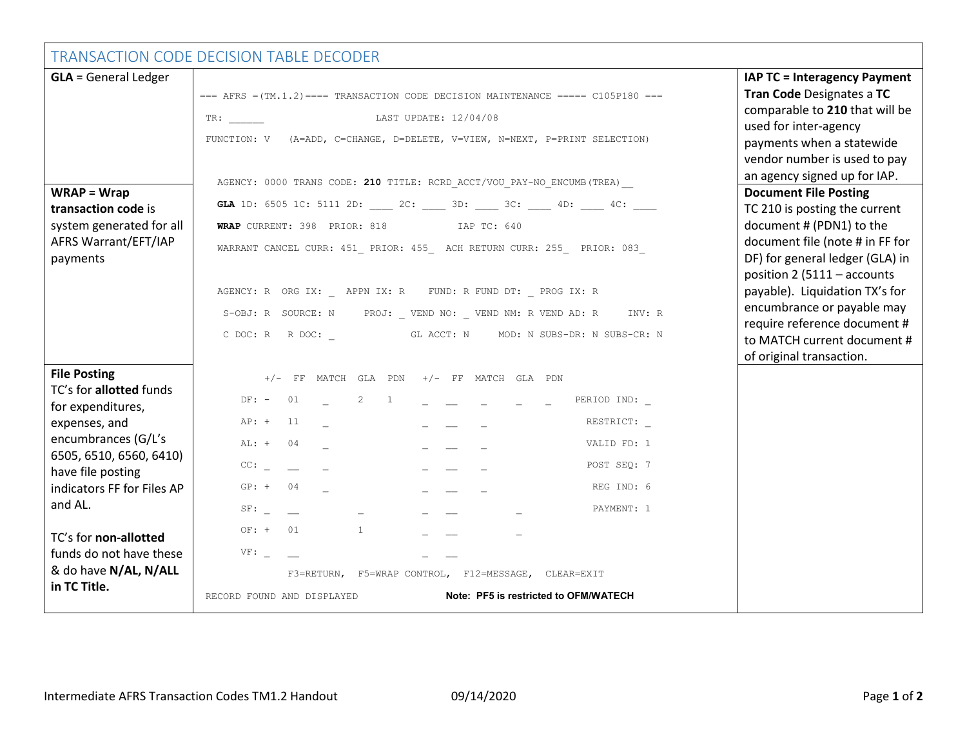| TRANSACTION CODE DECISION TABLE DECODER        |                                                                                   |                                                                        |  |  |  |  |  |  |  |  |  |
|------------------------------------------------|-----------------------------------------------------------------------------------|------------------------------------------------------------------------|--|--|--|--|--|--|--|--|--|
| <b>GLA</b> = General Ledger                    |                                                                                   | <b>IAP TC = Interagency Payment</b>                                    |  |  |  |  |  |  |  |  |  |
|                                                | $==$ AFRS =(TM.1.2) ==== TRANSACTION CODE DECISION MAINTENANCE ===== C105P180 === | Tran Code Designates a TC                                              |  |  |  |  |  |  |  |  |  |
|                                                |                                                                                   | comparable to 210 that will be                                         |  |  |  |  |  |  |  |  |  |
|                                                | FUNCTION: V (A=ADD, C=CHANGE, D=DELETE, V=VIEW, N=NEXT, P=PRINT SELECTION)        | used for inter-agency<br>payments when a statewide                     |  |  |  |  |  |  |  |  |  |
|                                                |                                                                                   | vendor number is used to pay                                           |  |  |  |  |  |  |  |  |  |
|                                                | AGENCY: 0000 TRANS CODE: 210 TITLE: RCRD ACCT/VOU PAY-NO ENCUMB (TREA)            | an agency signed up for IAP.                                           |  |  |  |  |  |  |  |  |  |
| $WRAP = Wrap$                                  |                                                                                   | <b>Document File Posting</b>                                           |  |  |  |  |  |  |  |  |  |
| transaction code is                            | <b>GLA</b> 1D: 6505 1C: 5111 2D: ____ 2C: ____ 3D: ____ 3C: ___ 4D: ___ 4C: ____  | TC 210 is posting the current                                          |  |  |  |  |  |  |  |  |  |
| system generated for all                       | WRAP CURRENT: 398 PRIOR: 818 1AP TC: 640                                          | document # (PDN1) to the                                               |  |  |  |  |  |  |  |  |  |
| AFRS Warrant/EFT/IAP                           | WARRANT CANCEL CURR: 451 PRIOR: 455 ACH RETURN CURR: 255 PRIOR: 083               | document file (note # in FF for                                        |  |  |  |  |  |  |  |  |  |
| payments                                       |                                                                                   | DF) for general ledger (GLA) in                                        |  |  |  |  |  |  |  |  |  |
|                                                | AGENCY: R ORG IX: _ APPN IX: R FUND: R FUND DT: _ PROG IX: R                      | position $2(5111 - \text{accounds})$<br>payable). Liquidation TX's for |  |  |  |  |  |  |  |  |  |
|                                                |                                                                                   | encumbrance or payable may                                             |  |  |  |  |  |  |  |  |  |
|                                                | S-OBJ: R SOURCE: N PROJ: _ VEND NO: _ VEND NM: R VEND AD: R<br>INV: R             | require reference document #                                           |  |  |  |  |  |  |  |  |  |
|                                                | C DOC: R R DOC: GL ACCT: N MOD: N SUBS-DR: N SUBS-CR: N                           | to MATCH current document #                                            |  |  |  |  |  |  |  |  |  |
|                                                |                                                                                   | of original transaction.                                               |  |  |  |  |  |  |  |  |  |
| <b>File Posting</b>                            | $+/-$ FF MATCH GLA PDN<br>+/- FF MATCH GLA PDN                                    |                                                                        |  |  |  |  |  |  |  |  |  |
| TC's for allotted funds                        | $DF: -01$ 2 1<br>PERIOD IND: _                                                    |                                                                        |  |  |  |  |  |  |  |  |  |
| for expenditures,                              | $AP: + 11$                                                                        |                                                                        |  |  |  |  |  |  |  |  |  |
| expenses, and                                  | RESTRICT:                                                                         |                                                                        |  |  |  |  |  |  |  |  |  |
| encumbrances (G/L's<br>6505, 6510, 6560, 6410) | $AL: + 04$<br>VALID FD: 1                                                         |                                                                        |  |  |  |  |  |  |  |  |  |
| have file posting                              | $CC:$ $\qquad$ $\qquad$ $\qquad$<br>POST SEQ: 7                                   |                                                                        |  |  |  |  |  |  |  |  |  |
| indicators FF for Files AP                     | GP: $+$ 04<br>REG IND: 6                                                          |                                                                        |  |  |  |  |  |  |  |  |  |
| and AL.                                        | PAYMENT: 1                                                                        |                                                                        |  |  |  |  |  |  |  |  |  |
| TC's for non-allotted                          | $OF: + 01$<br>$\mathbf{1}$                                                        |                                                                        |  |  |  |  |  |  |  |  |  |
| funds do not have these                        | $VF:$ _ _                                                                         |                                                                        |  |  |  |  |  |  |  |  |  |
| & do have N/AL, N/ALL                          | F3=RETURN, F5=WRAP CONTROL, F12=MESSAGE, CLEAR=EXIT                               |                                                                        |  |  |  |  |  |  |  |  |  |
| in TC Title.                                   |                                                                                   |                                                                        |  |  |  |  |  |  |  |  |  |
|                                                | Note: PF5 is restricted to OFM/WATECH<br>RECORD FOUND AND DISPLAYED               |                                                                        |  |  |  |  |  |  |  |  |  |